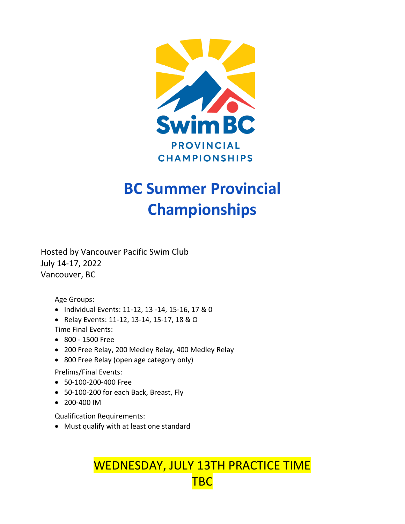

# **BC Summer Provincial Championships**

Hosted by Vancouver Pacific Swim Club July 14-17, 2022 Vancouver, BC

Age Groups:

- Individual Events: 11-12, 13 -14, 15-16, 17 & 0
- Relay Events: 11-12, 13-14, 15-17, 18 & O

Time Final Events:

- 800 1500 Free
- 200 Free Relay, 200 Medley Relay, 400 Medley Relay
- 800 Free Relay (open age category only)

Prelims/Final Events:

- 50-100-200-400 Free
- 50-100-200 for each Back, Breast, Fly
- 200-400 IM

Qualification Requirements:

• Must qualify with at least one standard

WEDNESDAY, JULY 13TH PRACTICE TIME **TBC**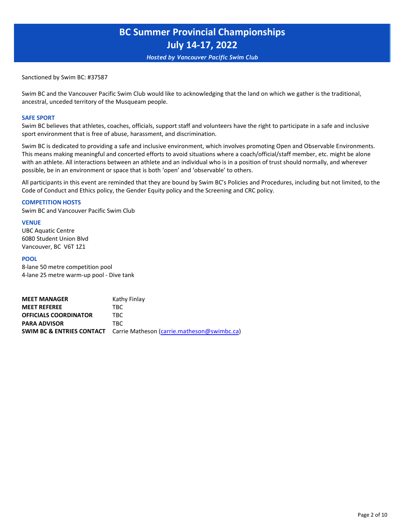*Hosted by Vancouver Pacific Swim Club*

Sanctioned by Swim BC: #37587

Swim BC and the Vancouver Pacific Swim Club would like to acknowledging that the land on which we gather is the traditional, ancestral, unceded territory of the Musqueam people.

#### **SAFE SPORT**

Swim BC believes that athletes, coaches, officials, support staff and volunteers have the right to participate in a safe and inclusive sport environment that is free of abuse, harassment, and discrimination.

Swim BC is dedicated to providing a safe and inclusive environment, which involves promoting Open and Observable Environments. This means making meaningful and concerted efforts to avoid situations where a coach/official/staff member, etc. might be alone with an athlete. All interactions between an athlete and an individual who is in a position of trust should normally, and wherever possible, be in an environment or space that is both 'open' and 'observable' to others.

All participants in this event are reminded that they are bound by Swim BC's Policies and Procedures, including but not limited, to the Code of Conduct and Ethics policy, the Gender Equity policy and the Screening and CRC policy.

#### **COMPETITION HOSTS**

Swim BC and Vancouver Pacific Swim Club

#### **VENUE**

UBC Aquatic Centre 6080 Student Union Blvd Vancouver, BC V6T 1Z1

#### **POOL**

8-lane 50 metre competition pool 4-lane 25 metre warm-up pool - Dive tank

| <b>MEET MANAGER</b>          | Kathy Finlay                                                                     |
|------------------------------|----------------------------------------------------------------------------------|
| <b>MEET REFEREE</b>          | TBC.                                                                             |
| <b>OFFICIALS COORDINATOR</b> | TBC.                                                                             |
| <b>PARA ADVISOR</b>          | TBC.                                                                             |
|                              | <b>SWIM BC &amp; ENTRIES CONTACT</b> Carrie Matheson (carrie.matheson@swimbc.ca) |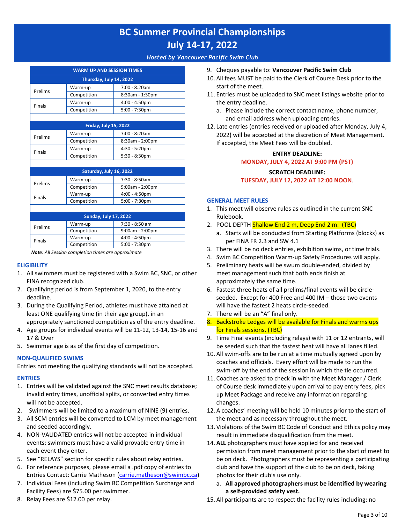*Hosted by Vancouver Pacific Swim Club*

|               | <b>WARM UP AND SESSION TIMES</b> |                  |
|---------------|----------------------------------|------------------|
|               | Thursday, July 14, 2022          |                  |
| Prelims       | Warm-up                          | 7:00 - 8:20am    |
|               | Competition                      | 8:30am - 1:30pm  |
| <b>Finals</b> | Warm-up                          | $4:00 - 4:50$ pm |
|               | Competition                      | $5:00 - 7:30$ pm |
|               |                                  |                  |
|               | <b>Friday, July 15, 2022</b>     |                  |
| Prelims       | Warm-up                          | 7:00 - 8:20am    |
|               | Competition                      | 8:30am - 2:00pm  |

Warm-up 4:30 - 5:20pm Competition | 5:30 - 8:30pm

|         | Saturday, July 16, 2022 |                   |
|---------|-------------------------|-------------------|
|         | Warm-up                 | $7:30 - 8:50am$   |
| Prelims | Competition             | $9:00am - 2:00pm$ |
|         | Warm-up                 | $4:00 - 4:50$ pm  |
| Finals  | Competition             | $5:00 - 7:30$ pm  |
|         |                         |                   |

|               | <b>Sunday, July 17, 2022</b> |                   |
|---------------|------------------------------|-------------------|
| Prelims       | Warm-up                      | 7:30 - 8:50 am    |
|               | Competition                  | $9:00am - 2:00pm$ |
| <b>Finals</b> | Warm-up                      | $4:00 - 4:50$ pm  |
|               | Competition                  | $5:00 - 7:30$ pm  |

*Note: All Session completion times are approximate*

### **ELIGIBILITY**

Finals

- 1. All swimmers must be registered with a Swim BC, SNC, or other FINA recognized club.
- 2. Qualifying period is from September 1, 2020, to the entry deadline.
- 3. During the Qualifying Period, athletes must have attained at least ONE qualifying time (in their age group), in an appropriately sanctioned competition as of the entry deadline.
- 4. Age groups for individual events will be 11-12, 13-14, 15-16 and 17 & Over
- 5. Swimmer age is as of the first day of competition.

### **NON-QUALIFIED SWIMS**

Entries not meeting the qualifying standards will not be accepted.

### **ENTRIES**

- 1. Entries will be validated against the SNC meet results database; invalid entry times, unofficial splits, or converted entry times will not be accepted.
- 2. Swimmers will be limited to a maximum of NINE (9) entries.
- 3. All SCM entries will be converted to LCM by meet management and seeded accordingly.
- 4. NON-VALIDATED entries will not be accepted in individual events; swimmers must have a valid provable entry time in each event they enter.
- 5. See "RELAYS" section for specific rules about relay entries.
- 6. For reference purposes, please email a .pdf copy of entries to Entries Contact: Carrie Matheson [\(carrie.matheson@swimbc.ca\)](mailto:carrie.matheson@swimbc.ca)
- 7. [Individual Fees \(includ](mailto:carrie.matheson@swimbc.ca)ing Swim BC Competition Surcharge and Facility Fees) are \$75.00 per swimmer.
- 8. Relay Fees are \$12.00 per relay.
- 9. Cheques payable to: **Vancouver Pacific Swim Club**
- 10. All fees MUST be paid to the Clerk of Course Desk prior to the start of the meet.
- 11. Entries must be uploaded to SNC meet listings website prior to the entry deadline.
	- a. Please include the correct contact name, phone number, and email address when uploading entries.
- 12. Late entries (entries received or uploaded after Monday, July 4, 2022) will be accepted at the discretion of Meet Management. If accepted, the Meet Fees will be doubled.

# **ENTRY DEADLINE: MONDAY, JULY 4, 2022 AT 9:00 PM (PST)**

#### **SCRATCH DEADLINE: TUESDAY, JULY 12, 2022 AT 12:00 NOON**.

### **GENERAL MEET RULES**

- 1. This meet will observe rules as outlined in the current SNC Rulebook.
- 2. POOL DEPTH Shallow End 2 m, Deep End 2 m. (TBC)
	- a. Starts will be conducted from Starting Platforms (blocks) as per FINA FR 2.3 and SW 4.1
- 3. There will be no deck entries, exhibition swims, or time trials.
- 4. Swim BC Competition Warm-up Safety Procedures will apply.
- 5. Preliminary heats will be swum double-ended, divided by meet management such that both ends finish at approximately the same time.
- 6. Fastest three heats of all prelims/final events will be circleseeded. Except for 400 Free and 400 IM – those two events will have the fastest 2 heats circle-seeded.
- 7. There will be an "A" final only.
- 8. Backstroke Ledges will be available for Finals and warms ups for Finals sessions. (TBC)
- 9. Time Final events (including relays) with 11 or 12 entrants, will be seeded such that the fastest heat will have all lanes filled.
- 10. All swim-offs are to be run at a time mutually agreed upon by coaches and officials. Every effort will be made to run the swim-off by the end of the session in which the tie occurred.
- 11. Coaches are asked to check in with the Meet Manager / Clerk of Course desk immediately upon arrival to pay entry fees, pick up Meet Package and receive any information regarding changes.
- 12. A coaches' meeting will be held 10 minutes prior to the start of the meet and as necessary throughout the meet.
- 13. Violations of the Swim BC Code of Conduct and Ethics policy may result in immediate disqualification from the meet.
- 14. **ALL** photographers must have applied for and received permission from meet management prior to the start of meet to be on deck. Photographers must be representing a participating club and have the support of the club to be on deck, taking photos for their club's use only.
	- a. **All approved photographers must be identified by wearing a self-provided safety vest.**
- 15. All participants are to respect the facility rules including: no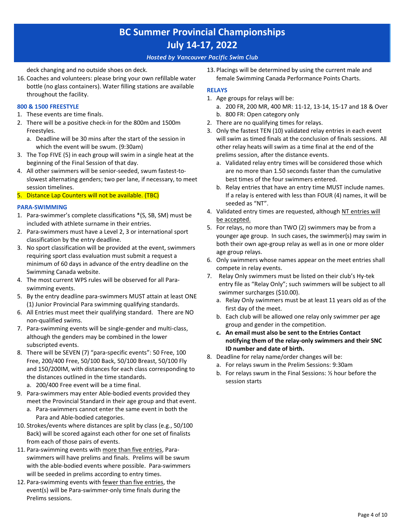### *Hosted by Vancouver Pacific Swim Club*

deck changing and no outside shoes on deck.

16. Coaches and volunteers: please bring your own refillable water bottle (no glass containers). Water filling stations are available throughout the facility.

### **800 & 1500 FREESTYLE**

- 1. These events are time finals.
- 2. There will be a positive check-in for the 800m and 1500m Freestyles.
	- a. Deadline will be 30 mins after the start of the session in which the event will be swum. (9:30am)
- 3. The Top FIVE (5) in each group will swim in a single heat at the beginning of the Final Session of that day.
- 4. All other swimmers will be senior-seeded, swum fastest-toslowest alternating genders; two per lane, if necessary, to meet session timelines.
- 5. Distance Lap Counters will not be available. (TBC)

### **PARA-SWIMMING**

- 1. Para-swimmer's complete classifications \*(S, SB, SM) must be included with athlete surname in their entries.
- 2. Para-swimmers must have a Level 2, 3 or international sport classification by the entry deadline.
- 3. No sport classification will be provided at the event, swimmers requiring sport class evaluation must submit a request a minimum of 60 days in advance of the entry deadline on the Swimming Canada website.
- 4. The most current WPS rules will be observed for all Paraswimming events.
- 5. By the entry deadline para-swimmers MUST attain at least ONE (1) Junior Provincial Para swimming qualifying standards.
- 6. All Entries must meet their qualifying standard. There are NO non-qualified swims.
- 7. Para-swimming events will be single-gender and multi-class, although the genders may be combined in the lower subscripted events.
- 8. There will be SEVEN (7) "para-specific events": 50 Free, 100 Free, 200/400 Free, 50/100 Back, 50/100 Breast, 50/100 Fly and 150/200IM, with distances for each class corresponding to the distances outlined in the time standards.
	- a. 200/400 Free event will be a time final.
- 9. Para-swimmers may enter Able-bodied events provided they meet the Provincial Standard in their age group and that event.
	- a. Para-swimmers cannot enter the same event in both the Para and Able-bodied categories.
- 10. Strokes/events where distances are split by class (e.g., 50/100 Back) will be scored against each other for one set of finalists from each of those pairs of events.
- 11. Para-swimming events with more than five entries, Paraswimmers will have prelims and finals. Prelims will be swum with the able-bodied events where possible. Para-swimmers will be seeded in prelims according to entry times.
- 12. Para-swimming events with fewer than five entries, the event(s) will be Para-swimmer-only time finals during the Prelims sessions.

13. Placings will be determined by using the current male and female Swimming Canada Performance Points Charts.

## **RELAYS**

- 1. Age groups for relays will be:
	- a. 200 FR, 200 MR, 400 MR: 11-12, 13-14, 15-17 and 18 & Over b. 800 FR: Open category only
- 2. There are no qualifying times for relays.
- 3. Only the fastest TEN (10) validated relay entries in each event will swim as timed finals at the conclusion of finals sessions. All other relay heats will swim as a time final at the end of the prelims session, after the distance events.
	- a. Validated relay entry times will be considered those which are no more than 1.50 seconds faster than the cumulative best times of the four swimmers entered.
	- b. Relay entries that have an entry time MUST include names. If a relay is entered with less than FOUR (4) names, it will be seeded as "NT".
- 4. Validated entry times are requested, although NT entries will be accepted.
- 5. For relays, no more than TWO (2) swimmers may be from a younger age group. In such cases, the swimmer(s) may swim in both their own age-group relay as well as in one or more older age group relays.
- 6. Only swimmers whose names appear on the meet entries shall compete in relay events.
- 7. Relay Only swimmers must be listed on their club's Hy-tek entry file as "Relay Only"; such swimmers will be subject to all swimmer surcharges (\$10.00).
	- a. Relay Only swimmers must be at least 11 years old as of the first day of the meet.
	- b. Each club will be allowed one relay only swimmer per age group and gender in the competition.
	- **c. An email must also be sent to the Entries Contact notifying them of the relay-only swimmers and their SNC ID number and date of birth.**
- 8. Deadline for relay name/order changes will be:
	- a. For relays swum in the Prelim Sessions: 9:30am
	- b. For relays swum in the Final Sessions: ½ hour before the session starts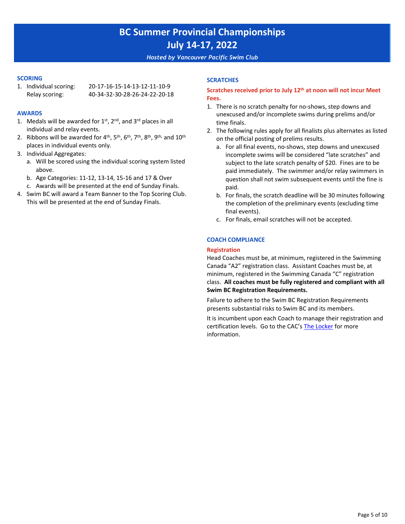#### *Hosted by Vancouver Pacific Swim Club*

#### **SCORING**

1. Individual scoring: 20-17-16-15-14-13-12-11-10-9 Relay scoring: 40-34-32-30-28-26-24-22-20-18

#### **AWARDS**

- 1. Medals will be awarded for  $1<sup>st</sup>$ ,  $2<sup>nd</sup>$ , and  $3<sup>rd</sup>$  places in all individual and relay events.
- 2. Ribbons will be awarded for  $4^{\text{th}}$ ,  $5^{\text{th}}$ ,  $6^{\text{th}}$ ,  $7^{\text{th}}$ ,  $8^{\text{th}}$ ,  $9^{\text{th}}$ , and  $10^{\text{th}}$ places in individual events only.
- 3. Individual Aggregates:
	- a. Will be scored using the individual scoring system listed above.
	- b. Age Categories: 11-12, 13-14, 15-16 and 17 & Over
	- c. Awards will be presented at the end of Sunday Finals.
- 4. Swim BC will award a Team Banner to the Top Scoring Club. This will be presented at the end of Sunday Finals.

### **SCRATCHES**

### **Scratches received prior to July 12th at noon will not incur Meet Fees.**

- 1. There is no scratch penalty for no-shows, step downs and unexcused and/or incomplete swims during prelims and/or time finals.
- 2. The following rules apply for all finalists plus alternates as listed on the official posting of prelims results.
	- a. For all final events, no-shows, step downs and unexcused incomplete swims will be considered "late scratches" and subject to the late scratch penalty of \$20. Fines are to be paid immediately. The swimmer and/or relay swimmers in question shall not swim subsequent events until the fine is paid.
	- b. For finals, the scratch deadline will be 30 minutes following the completion of the preliminary events (excluding time final events).
	- c. For finals, email scratches will not be accepted.

### **COACH COMPLIANCE**

#### **Registration**

Head Coaches must be, at minimum, registered in the Swimming Canada "A2" registration class. Assistant Coaches must be, at minimum, registered in the Swimming Canada "C" registration class. **All coaches must be fully registered and compliant with all Swim BC Registration Requirements.**

Failure to adhere to the Swim BC Registration Requirements presents substantial risks to Swim BC and its members.

It is incumbent upon each Coach to manage their registration and certification levels. Go to the CAC's [The Locker](https://thelocker.coach.ca/account/login?mode=login) [for more](https://thelocker.coach.ca/account/login?mode=login)  information.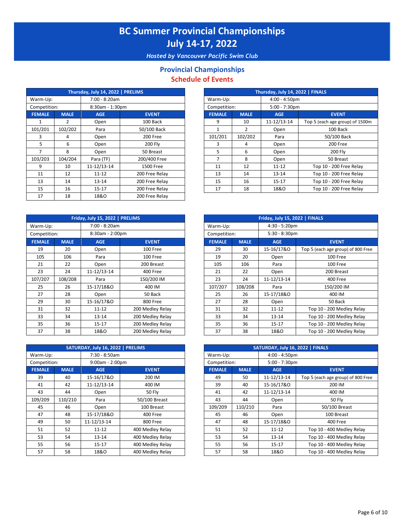*Hosted by Vancouver Pacific Swim Club*

# **Provincial Championships Schedule of Events**

|                |             | Thursday, July 14, 2022   PRELIMS |                |
|----------------|-------------|-----------------------------------|----------------|
| Warm-Up:       |             | 7:00 - 8:20am                     |                |
| Competition:   |             | 8:30am - 1:30pm                   |                |
| <b>FEMALE</b>  | <b>MALE</b> | <b>AGE</b>                        | <b>EVENT</b>   |
|                | 2           | Open                              | 100 Back       |
| 101/201        | 102/202     | Para                              | 50/100 Back    |
| 3              | 4           | Open                              | 200 Free       |
| 5.             | 6           | Open                              | 200 Fly        |
| $\overline{7}$ | 8           | Open                              | 50 Breast      |
| 103/203        | 104/204     | Para (TF)                         | 200/400 Free   |
| 9              | 10          | 11-12/13-14                       | 1500 Free      |
| 11             | 12          | $11 - 12$                         | 200 Free Relay |
| 13             | 14          | 13-14                             | 200 Free Relay |
| 15             | 16          | 15-17                             | 200 Free Relay |
| 17             | 18          | 18&0                              | 200 Free Relay |

|               |             | Friday, July 15, 2022   PRELIMS |                  |
|---------------|-------------|---------------------------------|------------------|
| Warm-Up:      |             | 7:00 - 8:20am                   |                  |
| Competition:  |             | 8:30am - 2:00pm                 |                  |
| <b>FEMALE</b> | <b>MALE</b> | <b>AGE</b>                      | <b>EVENT</b>     |
| 19            | 20          | Open                            | 100 Free         |
| 105           | 106         | Para                            | 100 Free         |
| 21            | 22          | Open                            | 200 Breast       |
| 23            | 24          | 11-12/13-14                     | 400 Free         |
| 107/207       | 108/208     | Para                            | 150/200 IM       |
| 25            | 26          | 15-17/18&0                      | 400 IM           |
| 27            | 28          | Open                            | 50 Back          |
| 29            | 30          | 15-16/17&0                      | 800 Free         |
| 31            | 32          | $11 - 12$                       | 200 Medley Relay |
| 33            | 34          | $13 - 14$                       | 200 Medley Relay |
| 35            | 36          | $15 - 17$                       | 200 Medley Relay |
| 37            | 38          | 18&0                            | 200 Medley Relay |

|               |             | SATURDAY, July 16, 2022   PRELIMS |                  |               |             | SATURDAY, July 16, 2022   FINALS |                        |
|---------------|-------------|-----------------------------------|------------------|---------------|-------------|----------------------------------|------------------------|
| Warm-Up:      |             | 7:30 - 8:50am                     |                  | Warm-Up:      |             | $4:00 - 4:50$ pm                 |                        |
| Competition:  |             | $9:00am - 2:00pm$                 |                  | Competition:  |             | $5:00 - 7:30$ pm                 |                        |
| <b>FEMALE</b> | <b>MALE</b> | <b>AGE</b>                        | <b>EVENT</b>     | <b>FEMALE</b> | <b>MALE</b> | <b>AGE</b>                       | <b>EVENT</b>           |
| 39            | 40          | 15-16/17&0                        | 200 IM           | 49            | 50          | 11-12/13-14                      | Top 5 (each age group) |
| 41            | 42          | 11-12/13-14                       | 400 IM           | 39            | 40          | 15-16/17&0                       | 200 IM                 |
| 43            | 44          | Open                              | <b>50 Fly</b>    | 41            | 42          | 11-12/13-14                      | 400 IM                 |
| 109/209       | 110/210     | Para                              | 50/100 Breast    | 43            | 44          | Open                             | <b>50 Flv</b>          |
| 45            | 46          | Open                              | 100 Breast       | 109/209       | 110/210     | Para                             | 50/100 Brea            |
| 47            | 48          | 15-17/18&0                        | 400 Free         | 45            | 46          | Open                             | 100 Breast             |
| 49            | 50          | 11-12/13-14                       | 800 Free         | 47            | 48          | 15-17/18&0                       | 400 Free               |
| 51            | 52          | $11 - 12$                         | 400 Medley Relay | 51            | 52          | $11 - 12$                        | Top 10 - 400 Medl      |
| 53            | 54          | $13 - 14$                         | 400 Medley Relay | 53            | 54          | $13 - 14$                        | Top 10 - 400 Medl      |
| 55            | 56          | $15 - 17$                         | 400 Medley Relay | 55            | 56          | $15 - 17$                        | Top 10 - 400 Medl      |
| 57            | 58          | 18&0                              | 400 Medley Relay | 57            | 58          | 18&0                             | Top 10 - 400 Medl      |

|                |             | Thursday, July 14, 2022   PRELIMS |                |               |               | Thursday, July 14, 2022   FINALS |                                 |
|----------------|-------------|-----------------------------------|----------------|---------------|---------------|----------------------------------|---------------------------------|
| rm-Up:         |             | 7:00 - 8:20am                     |                | Warm-Up:      |               | $4:00 - 4:50$ pm                 |                                 |
| npetition:     |             | 8:30am - 1:30pm                   |                | Competition:  |               | $5:00 - 7:30$ pm                 |                                 |
| <b>MALE</b>    | <b>MALE</b> | <b>AGE</b>                        | <b>EVENT</b>   | <b>FEMALE</b> | <b>MALE</b>   | <b>AGE</b>                       | <b>EVENT</b>                    |
| 1              | 2           | Open                              | 100 Back       | 9             | 10            | 11-12/13-14                      | Top 5 (each age group) of 1500m |
| 1/201          | 102/202     | Para                              | 50/100 Back    |               | $\mathcal{P}$ | Open                             | 100 Back                        |
| 3              | 4           | Open                              | 200 Free       | 101/201       | 102/202       | Para                             | 50/100 Back                     |
| 5              | 6           | Open                              | 200 Fly        | 3             | 4             | Open                             | 200 Free                        |
| $\overline{7}$ | 8           | Open                              | 50 Breast      | 5             | 6             | Open                             | 200 Fly                         |
| 3/203          | 104/204     | Para (TF)                         | 200/400 Free   |               | 8             | Open                             | 50 Breast                       |
| 9              | 10          | 11-12/13-14                       | 1500 Free      | 11            | 12            | $11 - 12$                        | Top 10 - 200 Free Relay         |
| 11             | 12          | $11 - 12$                         | 200 Free Relay | 13            | 14            | $13 - 14$                        | Top 10 - 200 Free Relay         |
| 13             | 14          | $13 - 14$                         | 200 Free Relay | 15            | 16            | $15-17$                          | Top 10 - 200 Free Relay         |
| 15             | 16          | $15 - 17$                         | 200 Free Relay | 17            | 18            | 18&0                             | Top 10 - 200 Free Relay         |
|                |             |                                   |                |               |               |                                  |                                 |

|             |             | Friday, July 15, 2022   PRELIMS |                  |               |             | Friday, July 15, 2022   FINALS |                                    |
|-------------|-------------|---------------------------------|------------------|---------------|-------------|--------------------------------|------------------------------------|
| rm-Up:      |             | 7:00 - 8:20am                   |                  | Warm-Up:      |             | $4:30 - 5:20$ pm               |                                    |
| npetition:  |             | 8:30am - 2:00pm                 |                  | Competition:  |             | $5:30 - 8:30$ pm               |                                    |
| <b>MALE</b> | <b>MALE</b> | <b>AGE</b>                      | <b>EVENT</b>     | <b>FEMALE</b> | <b>MALE</b> | <b>AGE</b>                     | <b>EVENT</b>                       |
| 19          | 20          | Open                            | 100 Free         | 29            | 30          | 15-16/17&0                     | Top 5 (each age group) of 800 Free |
| LO5         | 106         | Para                            | 100 Free         | 19            | 20          | Open                           | 100 Free                           |
| 21          | 22          | Open                            | 200 Breast       | 105           | 106         | Para                           | 100 Free                           |
| 23          | 24          | 11-12/13-14                     | 400 Free         | 21            | 22          | Open                           | 200 Breast                         |
| 7/207       | 108/208     | Para                            | 150/200 IM       | 23            | 24          | 11-12/13-14                    | 400 Free                           |
| 25          | 26          | 15-17/18&0                      | 400 IM           | 107/207       | 108/208     | Para                           | 150/200 IM                         |
| 27          | 28          | Open                            | 50 Back          | 25            | 26          | 15-17/18&0                     | 400 IM                             |
| 29          | 30          | 15-16/17&0                      | 800 Free         | 27            | 28          | Open                           | 50 Back                            |
| 31          | 32          | $11 - 12$                       | 200 Medley Relay | 31            | 32          | $11 - 12$                      | Top 10 - 200 Medley Relay          |
| 33          | 34          | $13 - 14$                       | 200 Medley Relay | 33            | 34          | $13 - 14$                      | Top 10 - 200 Medley Relay          |
| 35          | 36          | 15-17                           | 200 Medley Relay | 35            | 36          | 15-17                          | Top 10 - 200 Medley Relay          |
| 37          | 38          | 18&0                            | 200 Medley Relay | 37            | 38          | 18&0                           | Top 10 - 200 Medley Relay          |

|             |             | SATURDAY, July 16, 2022   PRELIMS |                  |               |             | SATURDAY, July 16, 2022   FINALS |                                    |
|-------------|-------------|-----------------------------------|------------------|---------------|-------------|----------------------------------|------------------------------------|
| rm-Up:      |             | 7:30 - 8:50am                     |                  | Warm-Up:      |             | $4:00 - 4:50$ pm                 |                                    |
| npetition:  |             | $9:00am - 2:00pm$                 |                  | Competition:  |             | $5:00 - 7:30$ pm                 |                                    |
| <b>MALE</b> | <b>MALE</b> | <b>AGE</b>                        | <b>EVENT</b>     | <b>FEMALE</b> | <b>MALE</b> | <b>AGE</b>                       | <b>EVENT</b>                       |
| 39          | 40          | 15-16/17&0                        | 200 IM           | 49            | 50          | 11-12/13-14                      | Top 5 (each age group) of 800 Free |
| 41          | 42          | 11-12/13-14                       | 400 IM           | 39            | 40          | 15-16/17&0                       | 200 IM                             |
| 43          | 44          | Open                              | 50 Fly           | 41            | 42          | 11-12/13-14                      | 400 IM                             |
| 9/209       | 110/210     | Para                              | 50/100 Breast    | 43            | 44          | Open                             | <b>50 Fly</b>                      |
| 45          | 46          | Open                              | 100 Breast       | 109/209       | 110/210     | Para                             | 50/100 Breast                      |
| 47          | 48          | 15-17/18&0                        | 400 Free         | 45            | 46          | Open                             | 100 Breast                         |
| 49          | 50          | 11-12/13-14                       | 800 Free         | 47            | 48          | 15-17/18&0                       | 400 Free                           |
| 51          | 52          | $11 - 12$                         | 400 Medley Relay | 51            | 52          | $11 - 12$                        | Top 10 - 400 Medley Relay          |
| 53          | 54          | $13 - 14$                         | 400 Medley Relay | 53            | 54          | $13 - 14$                        | Top 10 - 400 Medley Relay          |
| 55          | 56          | $15 - 17$                         | 400 Medley Relay | 55            | 56          | $15 - 17$                        | Top 10 - 400 Medley Relay          |
| 57          | 58          | 18&0                              | 400 Medley Relay | 57            | 58          | 18&0                             | Top 10 - 400 Medley Relay          |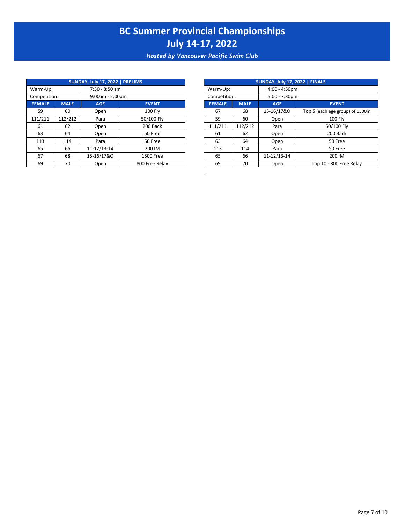*Hosted by Vancouver Pacific Swim Club*

|               |             | SUNDAY, July 17, 2022   PRELIMS |                |               |             | SUNDAY, July 17, 2022   FINALS |                       |
|---------------|-------------|---------------------------------|----------------|---------------|-------------|--------------------------------|-----------------------|
| Warm-Up:      |             | $7:30 - 8:50$ am                |                | Warm-Up:      |             | $4:00 - 4:50$ pm               |                       |
| Competition:  |             | 9:00am - 2:00pm                 |                | Competition:  |             | $5:00 - 7:30$ pm               |                       |
| <b>FEMALE</b> | <b>MALE</b> | <b>AGE</b>                      | <b>EVENT</b>   | <b>FEMALE</b> | <b>MALE</b> | <b>AGE</b>                     | <b>EVENT</b>          |
| 59            | 60          | Open                            | <b>100 Fly</b> | 67            | 68          | 15-16/17&0                     | Top 5 (each age group |
| 111/211       | 112/212     | Para                            | 50/100 Fly     | 59            | 60          | Open                           | <b>100 Flv</b>        |
| 61            | 62          | Open                            | 200 Back       | 111/211       | 112/212     | Para                           | 50/100 Fly            |
| 63            | 64          | Open                            | 50 Free        | 61            | 62          | Open                           | 200 Back              |
| 113           | 114         | Para                            | 50 Free        | 63            | 64          | Open                           | 50 Free               |
| 65            | 66          | 11-12/13-14                     | 200 IM         | 113           | 114         | Para                           | 50 Free               |
| 67            | 68          | 15-16/17&0                      | 1500 Free      | 65            | 66          | 11-12/13-14                    | 200 IM                |
| 69            | 70          | Open                            | 800 Free Relav | 69            | 70          | Open                           | Top 10 - 800 Free     |

|             |             | SUNDAY, July 17, 2022   PRELIMS |                |
|-------------|-------------|---------------------------------|----------------|
| rm-Up:      |             | $7:30 - 8:50$ am                |                |
| npetition:  |             | $9:00am - 2:00pm$               |                |
| <b>MALE</b> | <b>MALE</b> | <b>AGE</b>                      | <b>EVENT</b>   |
| 59          | 60          | Open                            | <b>100 Fly</b> |
| 1/211       | 112/212     | Para                            | 50/100 Fly     |
| 61          | 62          | Open                            | 200 Back       |
| 63          | 64          | Open                            | 50 Free        |
| L13         | 114         | Para                            | 50 Free        |
| 65          | 66          | 11-12/13-14                     | 200 IM         |
| 67          | 68          | 15-16/17&0                      | 1500 Free      |
| 69          | 70          | Open                            | 800 Free Relay |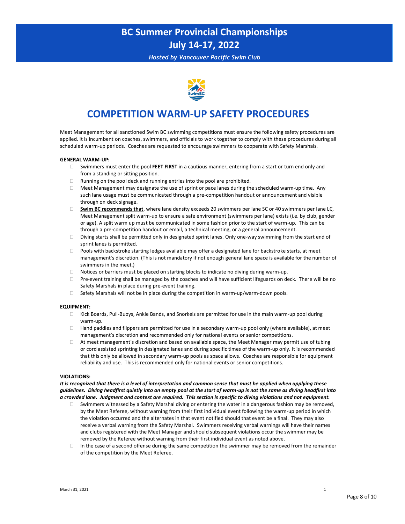*Hosted by Vancouver Pacific Swim Club*



# **COMPETITION WARM-UP SAFETY PROCEDURES**

Meet Management for all sanctioned Swim BC swimming competitions must ensure the following safety procedures are applied. It is incumbent on coaches, swimmers, and officials to work together to comply with these procedures during all scheduled warm-up periods. Coaches are requested to encourage swimmers to cooperate with Safety Marshals.

#### **GENERAL WARM-UP:**

- Swimmers must enter the pool **FEET FIRST** in a cautious manner, entering from a start or turn end only and from a standing or sitting position.
- $\Box$  Running on the pool deck and running entries into the pool are prohibited.
- $\Box$  Meet Management may designate the use of sprint or pace lanes during the scheduled warm-up time. Any such lane usage must be communicated through a pre-competition handout or announcement and visible through on deck signage.
- **Swim BC recommends that**, where lane density exceeds 20 swimmers per lane SC or 40 swimmers per lane LC, Meet Management split warm-up to ensure a safe environment (swimmers per lane) exists (i.e. by club, gender or age). A split warm up must be communicated in some fashion prior to the start of warm-up. This can be through a pre-competition handout or email, a technical meeting, or a general announcement.
- $\Box$  Diving starts shall be permitted only in designated sprint lanes. Only one-way swimming from the start end of sprint lanes is permitted.
- Pools with backstroke starting ledges available may offer a designated lane for backstroke starts, at meet management's discretion. (This is not mandatory if not enough general lane space is available for the number of swimmers in the meet.)
- $\Box$  Notices or barriers must be placed on starting blocks to indicate no diving during warm-up.
- Pre-event training shall be managed by the coaches and will have sufficient lifeguards on deck. There will be no Safety Marshals in place during pre-event training.
- $\Box$  Safety Marshals will not be in place during the competition in warm-up/warm-down pools.

#### **EQUIPMENT:**

- Kick Boards, Pull-Buoys, Ankle Bands, and Snorkels are permitted for use in the main warm-up pool during warm-up.
- $\Box$  Hand paddles and flippers are permitted for use in a secondary warm-up pool only (where available), at meet management's discretion and recommended only for national events or senior competitions.
- $\Box$  At meet management's discretion and based on available space, the Meet Manager may permit use of tubing or cord assisted sprinting in designated lanes and during specific times of the warm-up only. It is recommended that this only be allowed in secondary warm-up pools as space allows. Coaches are responsible for equipment reliability and use. This is recommended only for national events or senior competitions.

#### **VIOLATIONS:**

*It is recognized that there is a level of interpretation and common sense that must be applied when applying these guidelines. Diving headfirst quietly into an empty pool at the start of warm-up is not the same as diving headfirst into a crowded lane. Judgment and context are required. This section is specific to diving violations and not equipment.*

- Swimmers witnessed by a Safety Marshal diving or entering the water in a dangerous fashion may be removed, by the Meet Referee, without warning from their first individual event following the warm-up period in which the violation occurred and the alternates in that event notified should that event be a final. They may also receive a verbal warning from the Safety Marshal. Swimmers receiving verbal warnings will have their names and clubs registered with the Meet Manager and should subsequent violations occur the swimmer may be removed by the Referee without warning from their first individual event as noted above.
- $\Box$  In the case of a second offense during the same competition the swimmer may be removed from the remainder of the competition by the Meet Referee.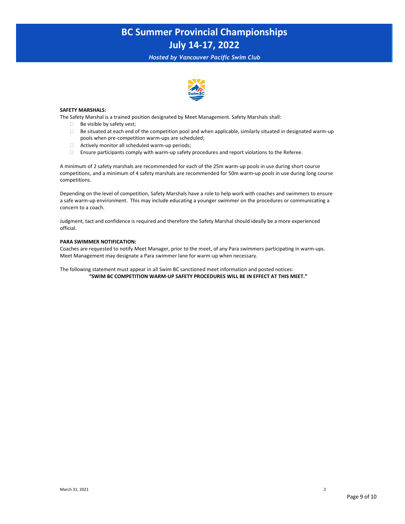*Hosted by Vancouver Pacific Swim Club*



#### **SAFETY MARSHALS:**

The Safety Marshal is a trained position designated by Meet Management. Safety Marshals shall:

- $\Box$  Be visible by safety vest;
- $\Box$  Be situated at each end of the competition pool and when applicable, similarly situated in designated warm-up pools when pre-competition warm-ups are scheduled;
- $\Box$  Actively monitor all scheduled warm-up periods;
- Ensure participants comply with warm-up safety procedures and report violations to the Referee.

A minimum of 2 safety marshals are recommended for each of the 25m warm-up pools in use during short course competitions, and a minimum of 4 safety marshals are recommended for 50m warm-up pools in use during long course competitions.

Depending on the level of competition, Safety Marshals have a role to help work with coaches and swimmers to ensure a safe warm-up environment. This may include educating a younger swimmer on the procedures or communicating a concern to a coach.

Judgment, tact and confidence is required and therefore the Safety Marshal should ideally be a more experienced official.

#### **PARA SWIMMER NOTIFICATION:**

Coaches are requested to notify Meet Manager, prior to the meet, of any Para swimmers participating in warm-ups. Meet Management may designate a Para swimmer lane for warm-up when necessary.

The following statement must appear in all Swim BC sanctioned meet information and posted notices: **"SWIM BC COMPETITION WARM-UP SAFETY PROCEDURES WILL BE IN EFFECT AT THIS MEET."**